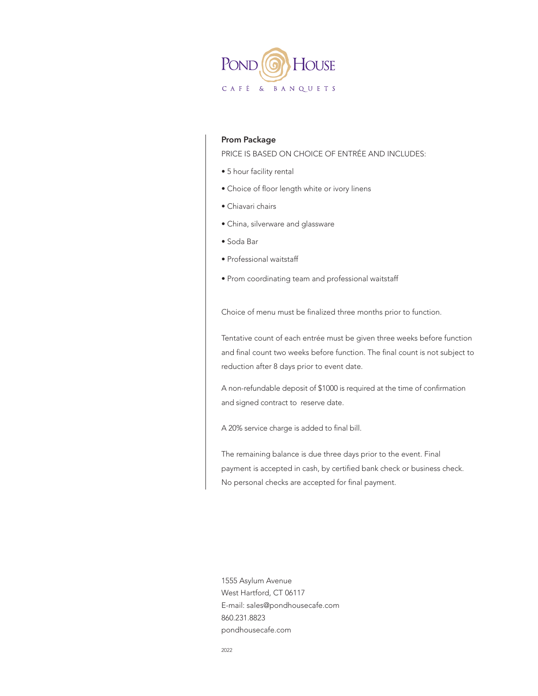

### **Prom Package**

PRICE IS BASED ON CHOICE OF ENTRÉE AND INCLUDES:

- 5 hour facility rental
- Choice of floor length white or ivory linens
- Chiavari chairs
- China, silverware and glassware
- Soda Bar
- Professional waitstaff
- Prom coordinating team and professional waitstaff

Choice of menu must be finalized three months prior to function.

Tentative count of each entrée must be given three weeks before function and final count two weeks before function. The final count is not subject to reduction after 8 days prior to event date.

A non-refundable deposit of \$1000 is required at the time of confirmation and signed contract to reserve date.

A 20% service charge is added to final bill.

The remaining balance is due three days prior to the event. Final payment is accepted in cash, by certified bank check or business check. No personal checks are accepted for final payment.

1555 Asylum Avenue West Hartford, CT 06117 E-mail: sales@pondhousecafe.com 860.231.8823 pondhousecafe.com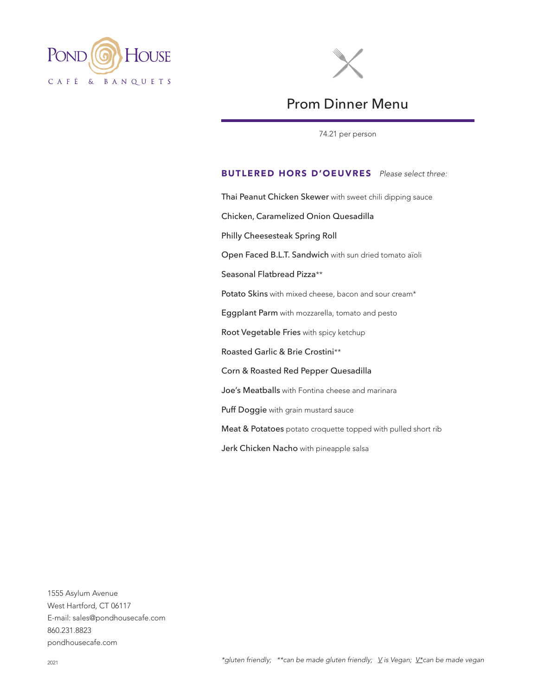



# Prom Dinner Menu

74.21 per person

# BUTLERED HORS D'OEUVRES *Please select three:*

Thai Peanut Chicken Skewer with sweet chili dipping sauce Chicken, Caramelized Onion Quesadilla Philly Cheesesteak Spring Roll Open Faced B.L.T. Sandwich with sun dried tomato aïoli Seasonal Flatbread Pizza\*\* Potato Skins with mixed cheese, bacon and sour cream\* Eggplant Parm with mozzarella, tomato and pesto Root Vegetable Fries with spicy ketchup Roasted Garlic & Brie Crostini\*\* Corn & Roasted Red Pepper Quesadilla Joe's Meatballs with Fontina cheese and marinara Puff Doggie with grain mustard sauce Meat & Potatoes potato croquette topped with pulled short rib Jerk Chicken Nacho with pineapple salsa

1555 Asylum Avenue West Hartford, CT 06117 E-mail: sales@pondhousecafe.com 860.231.8823 pondhousecafe.com